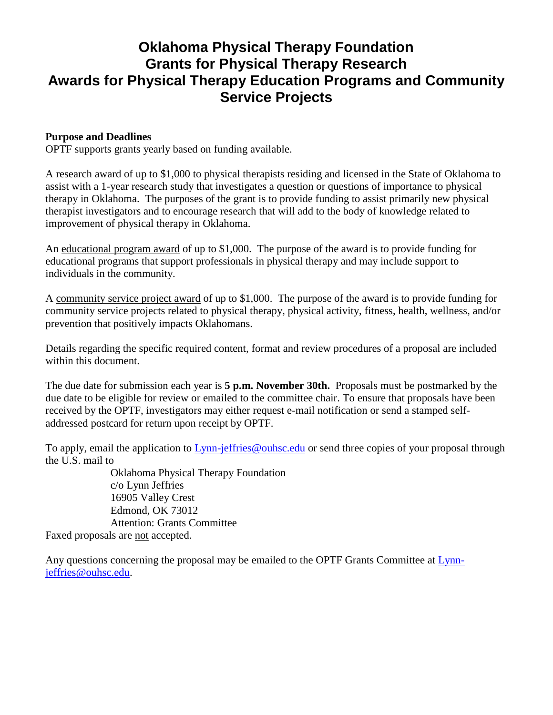# **Oklahoma Physical Therapy Foundation Grants for Physical Therapy Research Awards for Physical Therapy Education Programs and Community Service Projects**

## **Purpose and Deadlines**

OPTF supports grants yearly based on funding available.

A research award of up to \$1,000 to physical therapists residing and licensed in the State of Oklahoma to assist with a 1-year research study that investigates a question or questions of importance to physical therapy in Oklahoma. The purposes of the grant is to provide funding to assist primarily new physical therapist investigators and to encourage research that will add to the body of knowledge related to improvement of physical therapy in Oklahoma.

An educational program award of up to \$1,000. The purpose of the award is to provide funding for educational programs that support professionals in physical therapy and may include support to individuals in the community.

A community service project award of up to \$1,000. The purpose of the award is to provide funding for community service projects related to physical therapy, physical activity, fitness, health, wellness, and/or prevention that positively impacts Oklahomans.

Details regarding the specific required content, format and review procedures of a proposal are included within this document.

The due date for submission each year is **5 p.m. November 30th.** Proposals must be postmarked by the due date to be eligible for review or emailed to the committee chair. To ensure that proposals have been received by the OPTF, investigators may either request e-mail notification or send a stamped selfaddressed postcard for return upon receipt by OPTF.

To apply, email the application to [Lynn-jeffries@ouhsc.edu](mailto:Lynn-jeffries@ouhsc.edu) or send three copies of your proposal through the U.S. mail to

Oklahoma Physical Therapy Foundation c/o Lynn Jeffries 16905 Valley Crest Edmond, OK 73012 Attention: Grants Committee Faxed proposals are not accepted.

Any questions concerning the proposal may be emailed to the OPTF Grants Committee at [Lynn](mailto:Lynn-jeffries@ouhsc.edu)[jeffries@ouhsc.edu.](mailto:Lynn-jeffries@ouhsc.edu)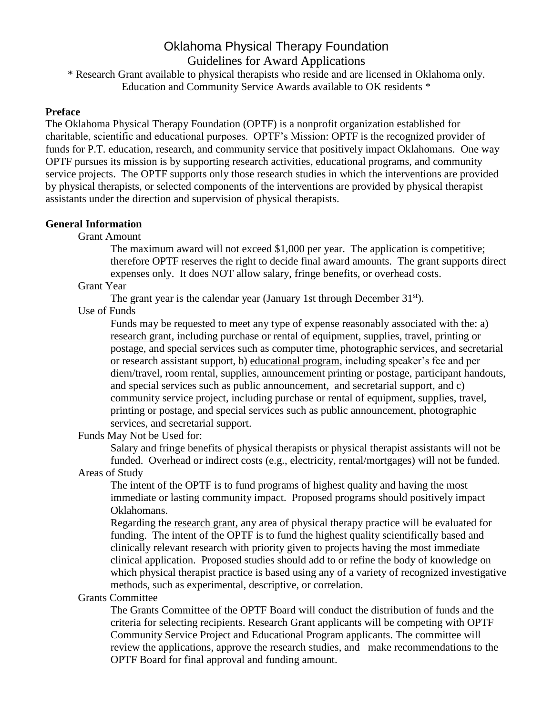# Oklahoma Physical Therapy Foundation Guidelines for Award Applications

\* Research Grant available to physical therapists who reside and are licensed in Oklahoma only. Education and Community Service Awards available to OK residents \*

### **Preface**

The Oklahoma Physical Therapy Foundation (OPTF) is a nonprofit organization established for charitable, scientific and educational purposes. OPTF's Mission: OPTF is the recognized provider of funds for P.T. education, research, and community service that positively impact Oklahomans. One way OPTF pursues its mission is by supporting research activities, educational programs, and community service projects. The OPTF supports only those research studies in which the interventions are provided by physical therapists, or selected components of the interventions are provided by physical therapist assistants under the direction and supervision of physical therapists.

## **General Information**

Grant Amount

The maximum award will not exceed \$1,000 per year. The application is competitive; therefore OPTF reserves the right to decide final award amounts. The grant supports direct expenses only. It does NOT allow salary, fringe benefits, or overhead costs.

### Grant Year

The grant year is the calendar year (January 1st through December 31<sup>st</sup>).

### Use of Funds

Funds may be requested to meet any type of expense reasonably associated with the: a) research grant, including purchase or rental of equipment, supplies, travel, printing or postage, and special services such as computer time, photographic services, and secretarial or research assistant support, b) educational program, including speaker's fee and per diem/travel, room rental, supplies, announcement printing or postage, participant handouts, and special services such as public announcement, and secretarial support, and c) community service project, including purchase or rental of equipment, supplies, travel, printing or postage, and special services such as public announcement, photographic services, and secretarial support.

Funds May Not be Used for:

Salary and fringe benefits of physical therapists or physical therapist assistants will not be funded. Overhead or indirect costs (e.g., electricity, rental/mortgages) will not be funded.

Areas of Study

The intent of the OPTF is to fund programs of highest quality and having the most immediate or lasting community impact. Proposed programs should positively impact Oklahomans.

Regarding the research grant, any area of physical therapy practice will be evaluated for funding. The intent of the OPTF is to fund the highest quality scientifically based and clinically relevant research with priority given to projects having the most immediate clinical application. Proposed studies should add to or refine the body of knowledge on which physical therapist practice is based using any of a variety of recognized investigative methods, such as experimental, descriptive, or correlation.

### Grants Committee

The Grants Committee of the OPTF Board will conduct the distribution of funds and the criteria for selecting recipients. Research Grant applicants will be competing with OPTF Community Service Project and Educational Program applicants. The committee will review the applications, approve the research studies, and make recommendations to the OPTF Board for final approval and funding amount.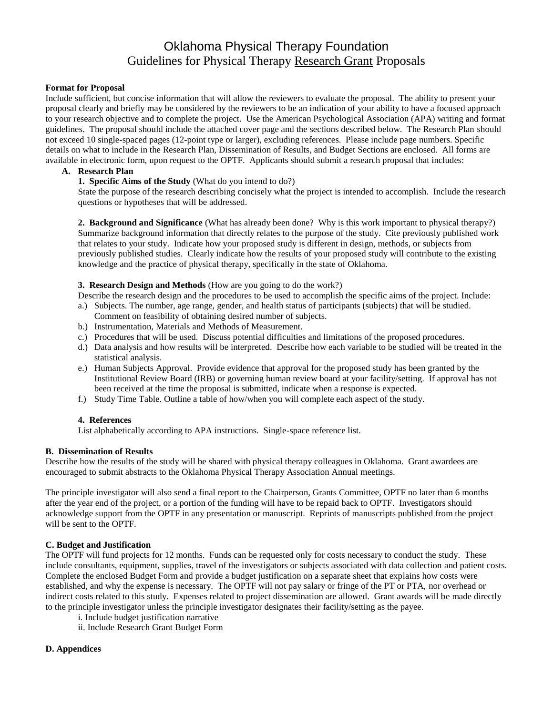# Oklahoma Physical Therapy Foundation Guidelines for Physical Therapy Research Grant Proposals

#### **Format for Proposal**

Include sufficient, but concise information that will allow the reviewers to evaluate the proposal. The ability to present your proposal clearly and briefly may be considered by the reviewers to be an indication of your ability to have a focused approach to your research objective and to complete the project. Use the American Psychological Association (APA) writing and format guidelines. The proposal should include the attached cover page and the sections described below. The Research Plan should not exceed 10 single-spaced pages (12-point type or larger), excluding references. Please include page numbers. Specific details on what to include in the Research Plan, Dissemination of Results, and Budget Sections are enclosed. All forms are available in electronic form, upon request to the OPTF. Applicants should submit a research proposal that includes:

#### **A. Research Plan**

#### **1. Specific Aims of the Study** (What do you intend to do?)

State the purpose of the research describing concisely what the project is intended to accomplish. Include the research questions or hypotheses that will be addressed.

**2. Background and Significance** (What has already been done? Why is this work important to physical therapy?) Summarize background information that directly relates to the purpose of the study. Cite previously published work that relates to your study. Indicate how your proposed study is different in design, methods, or subjects from previously published studies. Clearly indicate how the results of your proposed study will contribute to the existing knowledge and the practice of physical therapy, specifically in the state of Oklahoma.

**3. Research Design and Methods** (How are you going to do the work?)

- Describe the research design and the procedures to be used to accomplish the specific aims of the project. Include:
- a.) Subjects. The number, age range, gender, and health status of participants (subjects) that will be studied. Comment on feasibility of obtaining desired number of subjects.
- b.) Instrumentation, Materials and Methods of Measurement.
- c.) Procedures that will be used. Discuss potential difficulties and limitations of the proposed procedures.
- d.) Data analysis and how results will be interpreted. Describe how each variable to be studied will be treated in the statistical analysis.
- e.) Human Subjects Approval. Provide evidence that approval for the proposed study has been granted by the Institutional Review Board (IRB) or governing human review board at your facility/setting. If approval has not been received at the time the proposal is submitted, indicate when a response is expected.
- f.) Study Time Table. Outline a table of how/when you will complete each aspect of the study.

#### **4. References**

List alphabetically according to APA instructions. Single-space reference list.

#### **B. Dissemination of Results**

Describe how the results of the study will be shared with physical therapy colleagues in Oklahoma. Grant awardees are encouraged to submit abstracts to the Oklahoma Physical Therapy Association Annual meetings.

The principle investigator will also send a final report to the Chairperson, Grants Committee, OPTF no later than 6 months after the year end of the project, or a portion of the funding will have to be repaid back to OPTF. Investigators should acknowledge support from the OPTF in any presentation or manuscript. Reprints of manuscripts published from the project will be sent to the OPTF.

#### **C. Budget and Justification**

The OPTF will fund projects for 12 months. Funds can be requested only for costs necessary to conduct the study. These include consultants, equipment, supplies, travel of the investigators or subjects associated with data collection and patient costs. Complete the enclosed Budget Form and provide a budget justification on a separate sheet that explains how costs were established, and why the expense is necessary. The OPTF will not pay salary or fringe of the PT or PTA, nor overhead or indirect costs related to this study. Expenses related to project dissemination are allowed. Grant awards will be made directly to the principle investigator unless the principle investigator designates their facility/setting as the payee.

- i. Include budget justification narrative
- ii. Include Research Grant Budget Form

#### **D. Appendices**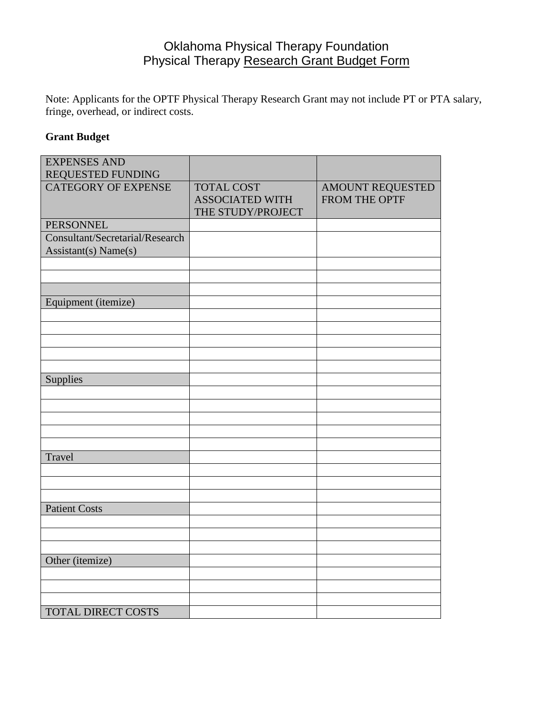# Oklahoma Physical Therapy Foundation Physical Therapy Research Grant Budget Form

Note: Applicants for the OPTF Physical Therapy Research Grant may not include PT or PTA salary, fringe, overhead, or indirect costs.

# **Grant Budget**

| <b>EXPENSES AND</b><br>REQUESTED FUNDING                |                                                                  |                                   |
|---------------------------------------------------------|------------------------------------------------------------------|-----------------------------------|
| <b>CATEGORY OF EXPENSE</b>                              | <b>TOTAL COST</b><br><b>ASSOCIATED WITH</b><br>THE STUDY/PROJECT | AMOUNT REQUESTED<br>FROM THE OPTF |
| <b>PERSONNEL</b>                                        |                                                                  |                                   |
| Consultant/Secretarial/Research<br>Assistant(s) Name(s) |                                                                  |                                   |
|                                                         |                                                                  |                                   |
|                                                         |                                                                  |                                   |
|                                                         |                                                                  |                                   |
| Equipment (itemize)                                     |                                                                  |                                   |
|                                                         |                                                                  |                                   |
|                                                         |                                                                  |                                   |
|                                                         |                                                                  |                                   |
|                                                         |                                                                  |                                   |
|                                                         |                                                                  |                                   |
| Supplies                                                |                                                                  |                                   |
|                                                         |                                                                  |                                   |
|                                                         |                                                                  |                                   |
|                                                         |                                                                  |                                   |
|                                                         |                                                                  |                                   |
| Travel                                                  |                                                                  |                                   |
|                                                         |                                                                  |                                   |
|                                                         |                                                                  |                                   |
|                                                         |                                                                  |                                   |
| <b>Patient Costs</b>                                    |                                                                  |                                   |
|                                                         |                                                                  |                                   |
|                                                         |                                                                  |                                   |
|                                                         |                                                                  |                                   |
| Other (itemize)                                         |                                                                  |                                   |
|                                                         |                                                                  |                                   |
|                                                         |                                                                  |                                   |
|                                                         |                                                                  |                                   |
| <b>TOTAL DIRECT COSTS</b>                               |                                                                  |                                   |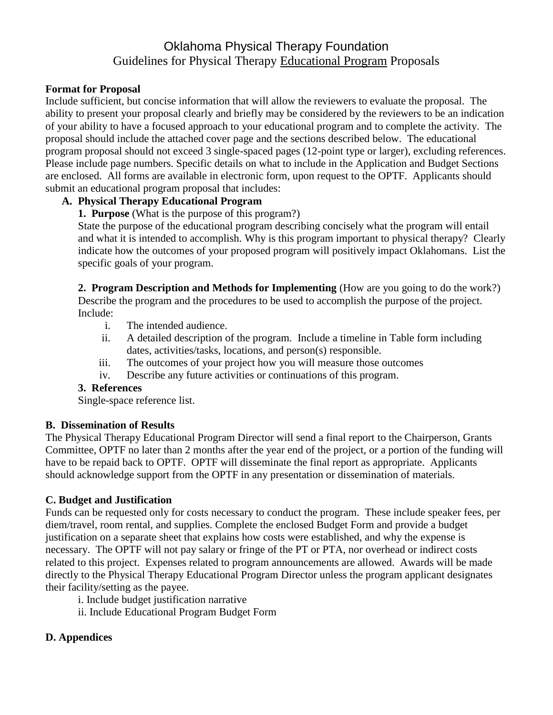# Oklahoma Physical Therapy Foundation Guidelines for Physical Therapy Educational Program Proposals

## **Format for Proposal**

Include sufficient, but concise information that will allow the reviewers to evaluate the proposal. The ability to present your proposal clearly and briefly may be considered by the reviewers to be an indication of your ability to have a focused approach to your educational program and to complete the activity. The proposal should include the attached cover page and the sections described below. The educational program proposal should not exceed 3 single-spaced pages (12-point type or larger), excluding references. Please include page numbers. Specific details on what to include in the Application and Budget Sections are enclosed. All forms are available in electronic form, upon request to the OPTF. Applicants should submit an educational program proposal that includes:

## **A. Physical Therapy Educational Program**

**1. Purpose** (What is the purpose of this program?)

State the purpose of the educational program describing concisely what the program will entail and what it is intended to accomplish. Why is this program important to physical therapy? Clearly indicate how the outcomes of your proposed program will positively impact Oklahomans. List the specific goals of your program.

**2. Program Description and Methods for Implementing** (How are you going to do the work?) Describe the program and the procedures to be used to accomplish the purpose of the project. Include:

- i. The intended audience.
- ii. A detailed description of the program. Include a timeline in Table form including dates, activities/tasks, locations, and person(s) responsible.
- iii. The outcomes of your project how you will measure those outcomes
- iv. Describe any future activities or continuations of this program.

## **3. References**

Single-space reference list.

## **B. Dissemination of Results**

The Physical Therapy Educational Program Director will send a final report to the Chairperson, Grants Committee, OPTF no later than 2 months after the year end of the project, or a portion of the funding will have to be repaid back to OPTF. OPTF will disseminate the final report as appropriate. Applicants should acknowledge support from the OPTF in any presentation or dissemination of materials.

# **C. Budget and Justification**

Funds can be requested only for costs necessary to conduct the program. These include speaker fees, per diem/travel, room rental, and supplies. Complete the enclosed Budget Form and provide a budget justification on a separate sheet that explains how costs were established, and why the expense is necessary. The OPTF will not pay salary or fringe of the PT or PTA, nor overhead or indirect costs related to this project. Expenses related to program announcements are allowed. Awards will be made directly to the Physical Therapy Educational Program Director unless the program applicant designates their facility/setting as the payee.

i. Include budget justification narrative

ii. Include Educational Program Budget Form

# **D. Appendices**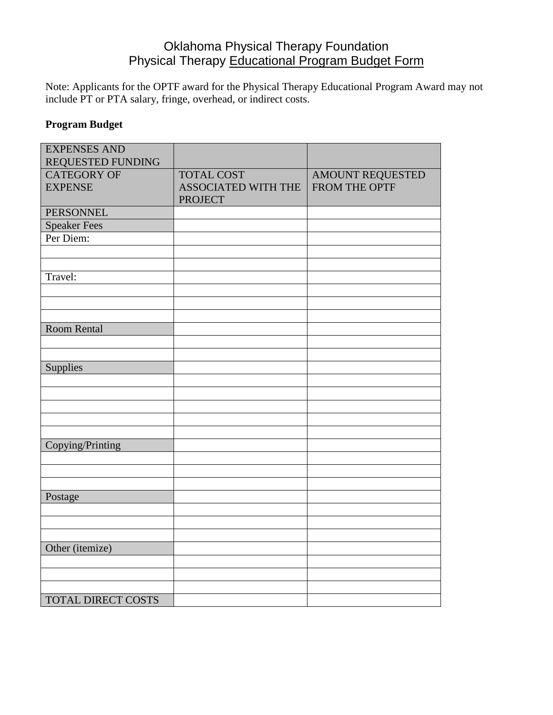# Oklahoma Physical Therapy Foundation Physical Therapy Educational Program Budget Form

Note: Applicants for the OPTF award for the Physical Therapy Educational Program Award may not include PT or PTA salary, fringe, overhead, or indirect costs.

# **Program Budget**

| <b>EXPENSES AND</b><br>REQUESTED FUNDING |                            |                  |
|------------------------------------------|----------------------------|------------------|
| <b>CATEGORY OF</b>                       | <b>TOTAL COST</b>          | AMOUNT REQUESTED |
| <b>EXPENSE</b>                           | <b>ASSOCIATED WITH THE</b> | FROM THE OPTF    |
|                                          | <b>PROJECT</b>             |                  |
| <b>PERSONNEL</b>                         |                            |                  |
| <b>Speaker Fees</b>                      |                            |                  |
| Per Diem:                                |                            |                  |
|                                          |                            |                  |
|                                          |                            |                  |
| Travel:                                  |                            |                  |
|                                          |                            |                  |
|                                          |                            |                  |
|                                          |                            |                  |
| <b>Room Rental</b>                       |                            |                  |
|                                          |                            |                  |
|                                          |                            |                  |
| Supplies                                 |                            |                  |
|                                          |                            |                  |
|                                          |                            |                  |
|                                          |                            |                  |
|                                          |                            |                  |
|                                          |                            |                  |
| Copying/Printing                         |                            |                  |
|                                          |                            |                  |
|                                          |                            |                  |
|                                          |                            |                  |
| Postage                                  |                            |                  |
|                                          |                            |                  |
|                                          |                            |                  |
|                                          |                            |                  |
| Other (itemize)                          |                            |                  |
|                                          |                            |                  |
|                                          |                            |                  |
|                                          |                            |                  |
| <b>TOTAL DIRECT COSTS</b>                |                            |                  |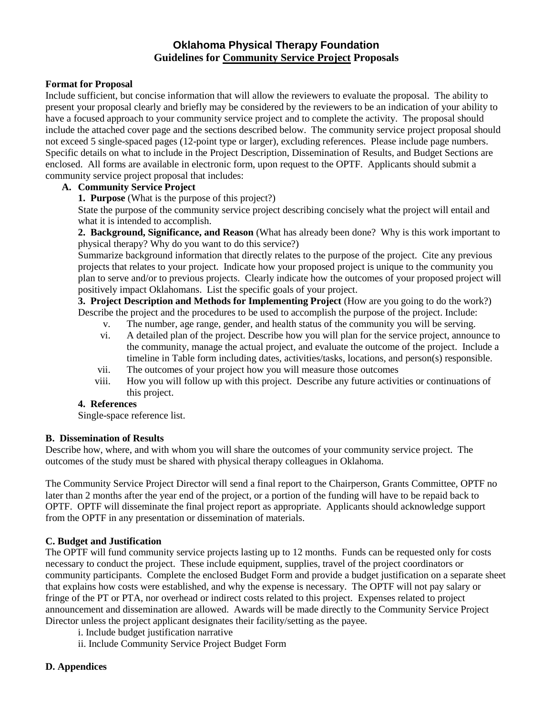## **Oklahoma Physical Therapy Foundation Guidelines for Community Service Project Proposals**

### **Format for Proposal**

Include sufficient, but concise information that will allow the reviewers to evaluate the proposal. The ability to present your proposal clearly and briefly may be considered by the reviewers to be an indication of your ability to have a focused approach to your community service project and to complete the activity. The proposal should include the attached cover page and the sections described below. The community service project proposal should not exceed 5 single-spaced pages (12-point type or larger), excluding references. Please include page numbers. Specific details on what to include in the Project Description, Dissemination of Results, and Budget Sections are enclosed. All forms are available in electronic form, upon request to the OPTF. Applicants should submit a community service project proposal that includes:

### **A. Community Service Project**

**1. Purpose** (What is the purpose of this project?)

State the purpose of the community service project describing concisely what the project will entail and what it is intended to accomplish.

**2. Background, Significance, and Reason** (What has already been done? Why is this work important to physical therapy? Why do you want to do this service?)

Summarize background information that directly relates to the purpose of the project. Cite any previous projects that relates to your project. Indicate how your proposed project is unique to the community you plan to serve and/or to previous projects. Clearly indicate how the outcomes of your proposed project will positively impact Oklahomans. List the specific goals of your project.

**3. Project Description and Methods for Implementing Project** (How are you going to do the work?) Describe the project and the procedures to be used to accomplish the purpose of the project. Include:

- v. The number, age range, gender, and health status of the community you will be serving.
- vi. A detailed plan of the project. Describe how you will plan for the service project, announce to the community, manage the actual project, and evaluate the outcome of the project. Include a timeline in Table form including dates, activities/tasks, locations, and person(s) responsible.
- vii. The outcomes of your project how you will measure those outcomes
- viii. How you will follow up with this project. Describe any future activities or continuations of this project.

### **4. References**

Single-space reference list.

### **B. Dissemination of Results**

Describe how, where, and with whom you will share the outcomes of your community service project. The outcomes of the study must be shared with physical therapy colleagues in Oklahoma.

The Community Service Project Director will send a final report to the Chairperson, Grants Committee, OPTF no later than 2 months after the year end of the project, or a portion of the funding will have to be repaid back to OPTF. OPTF will disseminate the final project report as appropriate. Applicants should acknowledge support from the OPTF in any presentation or dissemination of materials.

### **C. Budget and Justification**

The OPTF will fund community service projects lasting up to 12 months. Funds can be requested only for costs necessary to conduct the project. These include equipment, supplies, travel of the project coordinators or community participants. Complete the enclosed Budget Form and provide a budget justification on a separate sheet that explains how costs were established, and why the expense is necessary. The OPTF will not pay salary or fringe of the PT or PTA, nor overhead or indirect costs related to this project. Expenses related to project announcement and dissemination are allowed. Awards will be made directly to the Community Service Project Director unless the project applicant designates their facility/setting as the payee.

- i. Include budget justification narrative
- ii. Include Community Service Project Budget Form

### **D. Appendices**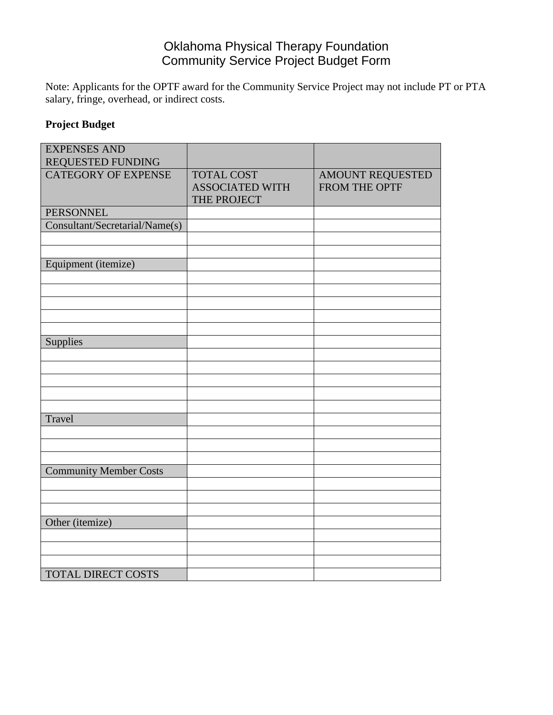# Oklahoma Physical Therapy Foundation Community Service Project Budget Form

Note: Applicants for the OPTF award for the Community Service Project may not include PT or PTA salary, fringe, overhead, or indirect costs.

# **Project Budget**

| <b>EXPENSES AND</b>            |                        |                  |
|--------------------------------|------------------------|------------------|
| REQUESTED FUNDING              |                        |                  |
| <b>CATEGORY OF EXPENSE</b>     | <b>TOTAL COST</b>      | AMOUNT REQUESTED |
|                                | <b>ASSOCIATED WITH</b> | FROM THE OPTF    |
|                                | THE PROJECT            |                  |
| <b>PERSONNEL</b>               |                        |                  |
| Consultant/Secretarial/Name(s) |                        |                  |
|                                |                        |                  |
|                                |                        |                  |
| Equipment (itemize)            |                        |                  |
|                                |                        |                  |
|                                |                        |                  |
|                                |                        |                  |
|                                |                        |                  |
|                                |                        |                  |
| Supplies                       |                        |                  |
|                                |                        |                  |
|                                |                        |                  |
|                                |                        |                  |
|                                |                        |                  |
|                                |                        |                  |
| Travel                         |                        |                  |
|                                |                        |                  |
|                                |                        |                  |
|                                |                        |                  |
| <b>Community Member Costs</b>  |                        |                  |
|                                |                        |                  |
|                                |                        |                  |
|                                |                        |                  |
| Other (itemize)                |                        |                  |
|                                |                        |                  |
|                                |                        |                  |
|                                |                        |                  |
| <b>TOTAL DIRECT COSTS</b>      |                        |                  |